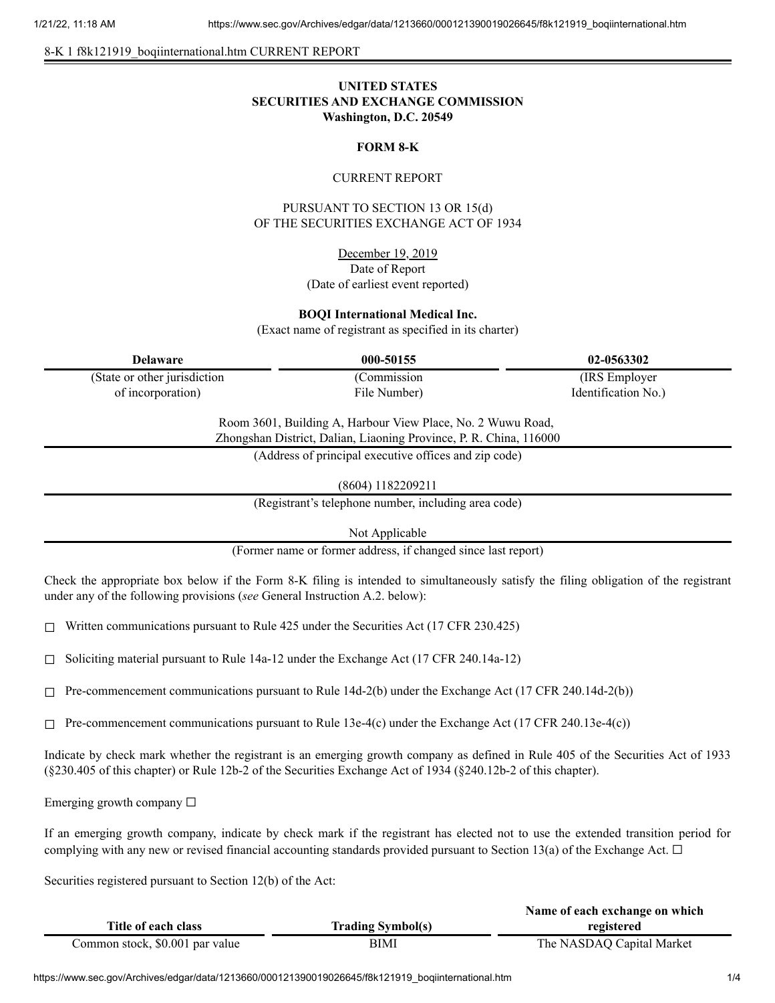8-K 1 f8k121919\_boqiinternational.htm CURRENT REPORT

# **UNITED STATES SECURITIES AND EXCHANGE COMMISSION Washington, D.C. 20549**

### **FORM 8-K**

#### CURRENT REPORT

PURSUANT TO SECTION 13 OR 15(d) OF THE SECURITIES EXCHANGE ACT OF 1934

> December 19, 2019 Date of Report (Date of earliest event reported)

#### **BOQI International Medical Inc.**

(Exact name of registrant as specified in its charter)

| Delaware                     | 000-50155    | 02-0563302          |
|------------------------------|--------------|---------------------|
| (State or other jurisdiction | (Commission) | (IRS Employer)      |
| of incorporation)            | File Number) | Identification No.) |

Room 3601, Building A, Harbour View Place, No. 2 Wuwu Road, Zhongshan District, Dalian, Liaoning Province, P. R. China, 116000

(Address of principal executive offices and zip code)

(8604) 1182209211

(Registrant's telephone number, including area code)

Not Applicable

(Former name or former address, if changed since last report)

Check the appropriate box below if the Form 8-K filing is intended to simultaneously satisfy the filing obligation of the registrant under any of the following provisions (*see* General Instruction A.2. below):

 $\Box$  Written communications pursuant to Rule 425 under the Securities Act (17 CFR 230.425)

 $\Box$  Soliciting material pursuant to Rule 14a-12 under the Exchange Act (17 CFR 240.14a-12)

 $\Box$  Pre-commencement communications pursuant to Rule 14d-2(b) under the Exchange Act (17 CFR 240.14d-2(b))

 $\Box$  Pre-commencement communications pursuant to Rule 13e-4(c) under the Exchange Act (17 CFR 240.13e-4(c))

Indicate by check mark whether the registrant is an emerging growth company as defined in Rule 405 of the Securities Act of 1933 (§230.405 of this chapter) or Rule 12b-2 of the Securities Exchange Act of 1934 (§240.12b-2 of this chapter).

Emerging growth company  $\Box$ 

If an emerging growth company, indicate by check mark if the registrant has elected not to use the extended transition period for complying with any new or revised financial accounting standards provided pursuant to Section 13(a) of the Exchange Act.  $\Box$ 

Securities registered pursuant to Section 12(b) of the Act:

|                                 |                          | Name of each exchange on which |
|---------------------------------|--------------------------|--------------------------------|
| Title of each class             | <b>Trading Symbol(s)</b> | registered                     |
| Common stock, \$0.001 par value | BIMI                     | The NASDAQ Capital Market      |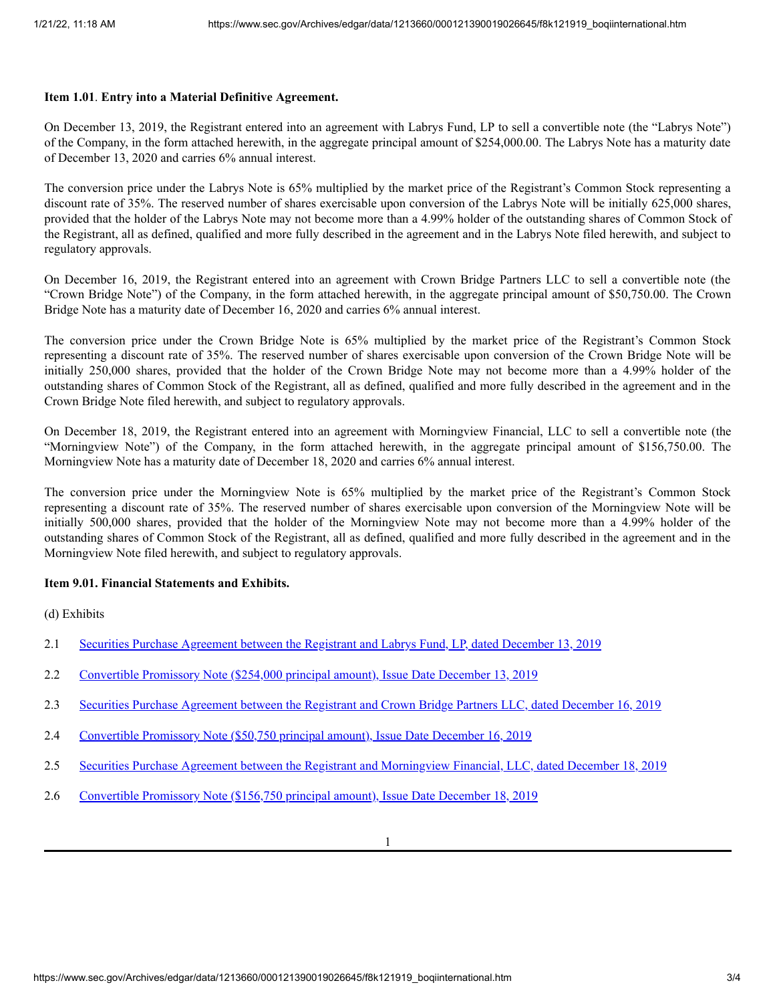#### **Item 1.01**. **Entry into a Material Definitive Agreement.**

On December 13, 2019, the Registrant entered into an agreement with Labrys Fund, LP to sell a convertible note (the "Labrys Note") of the Company, in the form attached herewith, in the aggregate principal amount of \$254,000.00. The Labrys Note has a maturity date of December 13, 2020 and carries 6% annual interest.

The conversion price under the Labrys Note is 65% multiplied by the market price of the Registrant's Common Stock representing a discount rate of 35%. The reserved number of shares exercisable upon conversion of the Labrys Note will be initially 625,000 shares, provided that the holder of the Labrys Note may not become more than a 4.99% holder of the outstanding shares of Common Stock of the Registrant, all as defined, qualified and more fully described in the agreement and in the Labrys Note filed herewith, and subject to regulatory approvals.

On December 16, 2019, the Registrant entered into an agreement with Crown Bridge Partners LLC to sell a convertible note (the "Crown Bridge Note") of the Company, in the form attached herewith, in the aggregate principal amount of \$50,750.00. The Crown Bridge Note has a maturity date of December 16, 2020 and carries 6% annual interest.

The conversion price under the Crown Bridge Note is 65% multiplied by the market price of the Registrant's Common Stock representing a discount rate of 35%. The reserved number of shares exercisable upon conversion of the Crown Bridge Note will be initially 250,000 shares, provided that the holder of the Crown Bridge Note may not become more than a 4.99% holder of the outstanding shares of Common Stock of the Registrant, all as defined, qualified and more fully described in the agreement and in the Crown Bridge Note filed herewith, and subject to regulatory approvals.

On December 18, 2019, the Registrant entered into an agreement with Morningview Financial, LLC to sell a convertible note (the "Morningview Note") of the Company, in the form attached herewith, in the aggregate principal amount of \$156,750.00. The Morningview Note has a maturity date of December 18, 2020 and carries 6% annual interest.

The conversion price under the Morningview Note is 65% multiplied by the market price of the Registrant's Common Stock representing a discount rate of 35%. The reserved number of shares exercisable upon conversion of the Morningview Note will be initially 500,000 shares, provided that the holder of the Morningview Note may not become more than a 4.99% holder of the outstanding shares of Common Stock of the Registrant, all as defined, qualified and more fully described in the agreement and in the Morningview Note filed herewith, and subject to regulatory approvals.

### **Item 9.01. Financial Statements and Exhibits.**

(d) Exhibits

- 2.1 Securities Purchase [Agreement](https://www.sec.gov/Archives/edgar/data/1213660/000121390019026645/f8k121919ex2-1_boqiinter.htm) between the Registrant and Labrys Fund, LP, dated December 13, 2019
- 2.2 [Convertible](https://www.sec.gov/Archives/edgar/data/1213660/000121390019026645/f8k121919ex2-2_boqiinter.htm) Promissory Note (\$254,000 principal amount), Issue Date December 13, 2019
- 2.3 Securities Purchase [Agreement](https://www.sec.gov/Archives/edgar/data/1213660/000121390019026645/f8k121919ex2-3_boqiinter.htm) between the Registrant and Crown Bridge Partners LLC, dated December 16, 2019
- 2.4 [Convertible](https://www.sec.gov/Archives/edgar/data/1213660/000121390019026645/f8k121919ex2-4_boqiinter.htm) Promissory Note (\$50,750 principal amount), Issue Date December 16, 2019
- 2.5 Securities Purchase Agreement between the Registrant and [Morningview](https://www.sec.gov/Archives/edgar/data/1213660/000121390019026645/f8k121919ex2-5_boqiinter.htm) Financial, LLC, dated December 18, 2019
- 2.6 [Convertible](https://www.sec.gov/Archives/edgar/data/1213660/000121390019026645/f8k121919ex2-6_boqiinter.htm) Promissory Note (\$156,750 principal amount), Issue Date December 18, 2019